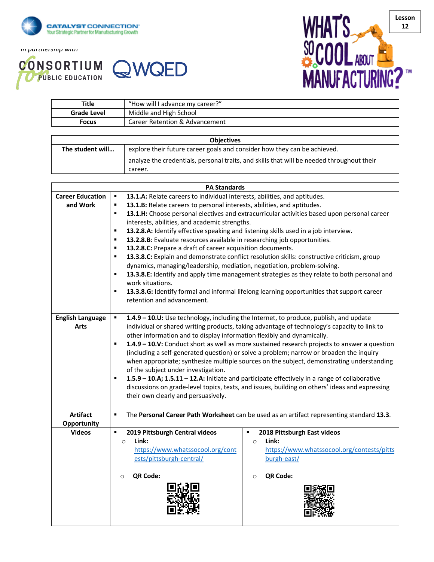

*In partnership with*





| Title       | "How will I advance my career?" |
|-------------|---------------------------------|
| Grade Level | Middle and High School          |
| Focus       | Career Retention & Advancement  |

| <b>Objectives</b> |                                                                                           |
|-------------------|-------------------------------------------------------------------------------------------|
| The student will  | explore their future career goals and consider how they can be achieved.                  |
|                   | analyze the credentials, personal traits, and skills that will be needed throughout their |
|                   | career.                                                                                   |

|                         | <b>PA Standards</b>                                                                                   |                                                                                                |
|-------------------------|-------------------------------------------------------------------------------------------------------|------------------------------------------------------------------------------------------------|
| <b>Career Education</b> | 13.1.A: Relate careers to individual interests, abilities, and aptitudes.<br>$\blacksquare$           |                                                                                                |
| and Work                | 13.1.B: Relate careers to personal interests, abilities, and aptitudes.<br>٠                          |                                                                                                |
|                         | $\blacksquare$                                                                                        | 13.1.H: Choose personal electives and extracurricular activities based upon personal career    |
|                         | interests, abilities, and academic strengths.                                                         |                                                                                                |
|                         | $\blacksquare$<br>13.2.8.A: Identify effective speaking and listening skills used in a job interview. |                                                                                                |
|                         | 13.2.8.B: Evaluate resources available in researching job opportunities.<br>$\blacksquare$            |                                                                                                |
|                         | 13.2.8.C: Prepare a draft of career acquisition documents.<br>٠                                       |                                                                                                |
|                         | ٠                                                                                                     | 13.3.8.C: Explain and demonstrate conflict resolution skills: constructive criticism, group    |
|                         | dynamics, managing/leadership, mediation, negotiation, problem-solving.                               |                                                                                                |
|                         | ٠<br>work situations.                                                                                 | 13.3.8.E: Identify and apply time management strategies as they relate to both personal and    |
|                         | $\blacksquare$                                                                                        | 13.3.8.G: Identify formal and informal lifelong learning opportunities that support career     |
|                         | retention and advancement.                                                                            |                                                                                                |
|                         |                                                                                                       |                                                                                                |
| <b>English Language</b> | ٠                                                                                                     | 1.4.9 - 10.U: Use technology, including the Internet, to produce, publish, and update          |
| Arts                    | other information and to display information flexibly and dynamically.                                | individual or shared writing products, taking advantage of technology's capacity to link to    |
|                         | ٠                                                                                                     | 1.4.9 - 10.V: Conduct short as well as more sustained research projects to answer a question   |
|                         |                                                                                                       | (including a self-generated question) or solve a problem; narrow or broaden the inquiry        |
|                         |                                                                                                       | when appropriate; synthesize multiple sources on the subject, demonstrating understanding      |
|                         | of the subject under investigation.                                                                   |                                                                                                |
|                         | ٠                                                                                                     | 1.5.9 - 10.A; 1.5.11 - 12.A: Initiate and participate effectively in a range of collaborative  |
|                         |                                                                                                       | discussions on grade-level topics, texts, and issues, building on others' ideas and expressing |
|                         | their own clearly and persuasively.                                                                   |                                                                                                |
|                         |                                                                                                       |                                                                                                |
| <b>Artifact</b>         | $\blacksquare$                                                                                        | The Personal Career Path Worksheet can be used as an artifact representing standard 13.3.      |
| Opportunity             |                                                                                                       |                                                                                                |
| <b>Videos</b>           | 2019 Pittsburgh Central videos<br>$\blacksquare$                                                      | 2018 Pittsburgh East videos<br>$\blacksquare$                                                  |
|                         | Link:<br>$\circ$                                                                                      | Link:<br>$\circ$                                                                               |
|                         | https://www.whatssocool.org/cont                                                                      | https://www.whatssocool.org/contests/pitts                                                     |
|                         | ests/pittsburgh-central/                                                                              | burgh-east/                                                                                    |
|                         |                                                                                                       |                                                                                                |
|                         | QR Code:<br>$\circ$                                                                                   | QR Code:<br>$\circ$                                                                            |
|                         |                                                                                                       |                                                                                                |
|                         |                                                                                                       |                                                                                                |
|                         |                                                                                                       |                                                                                                |
|                         |                                                                                                       |                                                                                                |
|                         |                                                                                                       |                                                                                                |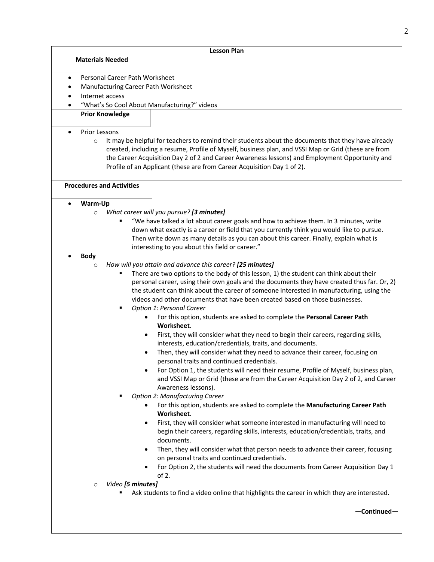**Materials Needed**

## **Lesson Plan**

- Personal Career Path Worksheet
- Manufacturing Career Path Worksheet
- Internet access
- "What's So Cool About Manufacturing?" videos
- **Prior Knowledge**
- Prior Lessons
	- $\circ$  It may be helpful for teachers to remind their students about the documents that they have already created, including a resume, Profile of Myself, business plan, and VSSI Map or Grid (these are from the Career Acquisition Day 2 of 2 and Career Awareness lessons) and Employment Opportunity and Profile of an Applicant (these are from Career Acquisition Day 1 of 2).

**Procedures and Activities**

- **Warm-Up** 
	- o *What career will you pursue? [3 minutes]*
		- § "We have talked a lot about career goals and how to achieve them. In 3 minutes, write down what exactly is a career or field that you currently think you would like to pursue. Then write down as many details as you can about this career. Finally, explain what is interesting to you about this field or career."

#### • **Body**

- o *How will you attain and advance this career? [25 minutes]*
	- There are two options to the body of this lesson, 1) the student can think about their personal career, using their own goals and the documents they have created thus far. Or, 2) the student can think about the career of someone interested in manufacturing, using the videos and other documents that have been created based on those businesses.
	- § *Option 1: Personal Career*
		- For this option, students are asked to complete the **Personal Career Path Worksheet**.
		- First, they will consider what they need to begin their careers, regarding skills, interests, education/credentials, traits, and documents.
		- Then, they will consider what they need to advance their career, focusing on personal traits and continued credentials.
		- For Option 1, the students will need their resume, Profile of Myself, business plan, and VSSI Map or Grid (these are from the Career Acquisition Day 2 of 2, and Career Awareness lessons).
	- § *Option 2: Manufacturing Career*
		- For this option, students are asked to complete the **Manufacturing Career Path Worksheet**.
		- First, they will consider what someone interested in manufacturing will need to begin their careers, regarding skills, interests, education/credentials, traits, and documents.
		- Then, they will consider what that person needs to advance their career, focusing on personal traits and continued credentials.
		- For Option 2, the students will need the documents from Career Acquisition Day 1 of 2.
- o *Video [5 minutes]*
	- Ask students to find a video online that highlights the career in which they are interested.

**—Continued—**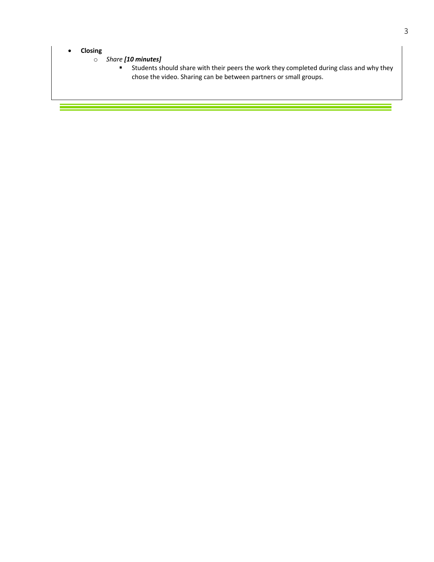# • **Closing**

Ξ

# o *Share [10 minutes]*

■ Students should share with their peers the work they completed during class and why they chose the video. Sharing can be between partners or small groups.

÷,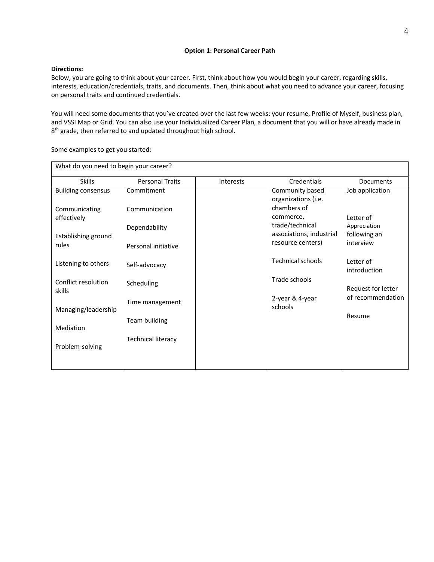#### **Option 1: Personal Career Path**

## **Directions:**

Below, you are going to think about your career. First, think about how you would begin your career, regarding skills, interests, education/credentials, traits, and documents. Then, think about what you need to advance your career, focusing on personal traits and continued credentials.

You will need some documents that you've created over the last few weeks: your resume, Profile of Myself, business plan, and VSSI Map or Grid. You can also use your Individualized Career Plan, a document that you will or have already made in 8<sup>th</sup> grade, then referred to and updated throughout high school.

What do you need to begin your career? Skills **Personal Traits** Interests **Credentials** Documents Building consensus Communicating effectively Establishing ground rules Listening to others Conflict resolution skills Managing/leadership Mediation Problem-solving Commitment Communication Dependability Personal initiative Self-advocacy Scheduling Time management Team building Technical literacy Community based organizations (i.e. chambers of commerce, trade/technical associations, industrial resource centers) Technical schools Trade schools 2-year & 4-year schools Job application Letter of Appreciation following an interview Letter of introduction Request for letter of recommendation Resume

Some examples to get you started: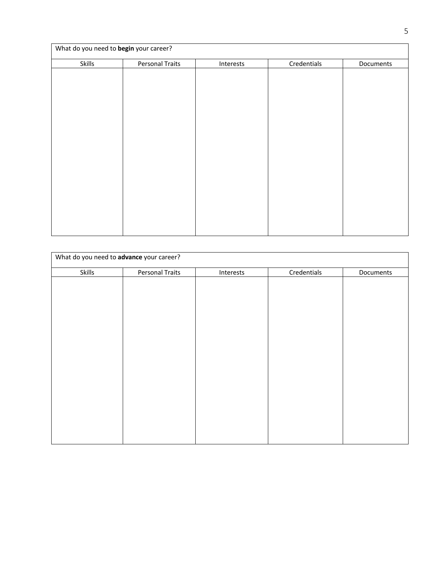|        | What do you need to begin your career? |           |             |           |
|--------|----------------------------------------|-----------|-------------|-----------|
| Skills | <b>Personal Traits</b>                 | Interests | Credentials | Documents |
|        |                                        |           |             |           |
|        |                                        |           |             |           |
|        |                                        |           |             |           |
|        |                                        |           |             |           |
|        |                                        |           |             |           |
|        |                                        |           |             |           |
|        |                                        |           |             |           |
|        |                                        |           |             |           |
|        |                                        |           |             |           |
|        |                                        |           |             |           |
|        |                                        |           |             |           |
|        |                                        |           |             |           |
|        |                                        |           |             |           |
|        |                                        |           |             |           |
|        |                                        |           |             |           |
|        |                                        |           |             |           |
|        |                                        |           |             |           |

|        | What do you need to advance your career? |           |             |           |
|--------|------------------------------------------|-----------|-------------|-----------|
| Skills | <b>Personal Traits</b>                   | Interests | Credentials | Documents |
|        |                                          |           |             |           |
|        |                                          |           |             |           |
|        |                                          |           |             |           |
|        |                                          |           |             |           |
|        |                                          |           |             |           |
|        |                                          |           |             |           |
|        |                                          |           |             |           |
|        |                                          |           |             |           |
|        |                                          |           |             |           |
|        |                                          |           |             |           |
|        |                                          |           |             |           |
|        |                                          |           |             |           |
|        |                                          |           |             |           |
|        |                                          |           |             |           |
|        |                                          |           |             |           |
|        |                                          |           |             |           |
|        |                                          |           |             |           |
|        |                                          |           |             |           |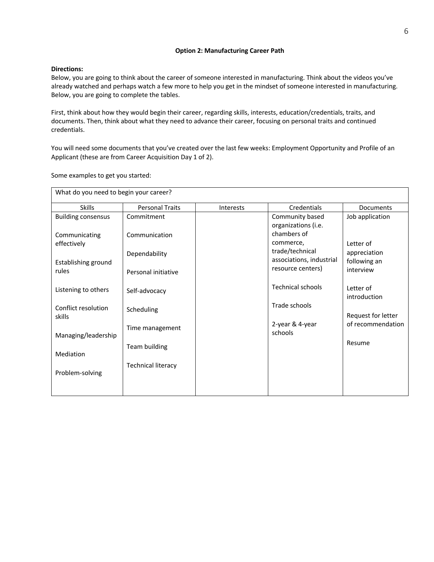## **Option 2: Manufacturing Career Path**

## **Directions:**

Below, you are going to think about the career of someone interested in manufacturing. Think about the videos you've already watched and perhaps watch a few more to help you get in the mindset of someone interested in manufacturing. Below, you are going to complete the tables.

First, think about how they would begin their career, regarding skills, interests, education/credentials, traits, and documents. Then, think about what they need to advance their career, focusing on personal traits and continued credentials.

You will need some documents that you've created over the last few weeks: Employment Opportunity and Profile of an Applicant (these are from Career Acquisition Day 1 of 2).

Some examples to get you started:

| What do you need to begin your career? |                           |           |                                             |                              |
|----------------------------------------|---------------------------|-----------|---------------------------------------------|------------------------------|
| <b>Skills</b>                          | <b>Personal Traits</b>    | Interests | Credentials                                 | Documents                    |
| <b>Building consensus</b>              | Commitment                |           | Community based<br>organizations (i.e.      | Job application              |
| Communicating<br>effectively           | Communication             |           | chambers of<br>commerce,                    | Letter of                    |
| Establishing ground                    | Dependability             |           | trade/technical<br>associations, industrial | appreciation<br>following an |
| rules                                  | Personal initiative       |           | resource centers)                           | interview                    |
| Listening to others                    | Self-advocacy             |           | <b>Technical schools</b>                    | Letter of<br>introduction    |
| Conflict resolution<br>skills          | Scheduling                |           | Trade schools                               | Request for letter           |
| Managing/leadership                    | Time management           |           | 2-year & 4-year<br>schools                  | of recommendation            |
| Mediation                              | <b>Team building</b>      |           |                                             | Resume                       |
| Problem-solving                        | <b>Technical literacy</b> |           |                                             |                              |
|                                        |                           |           |                                             |                              |